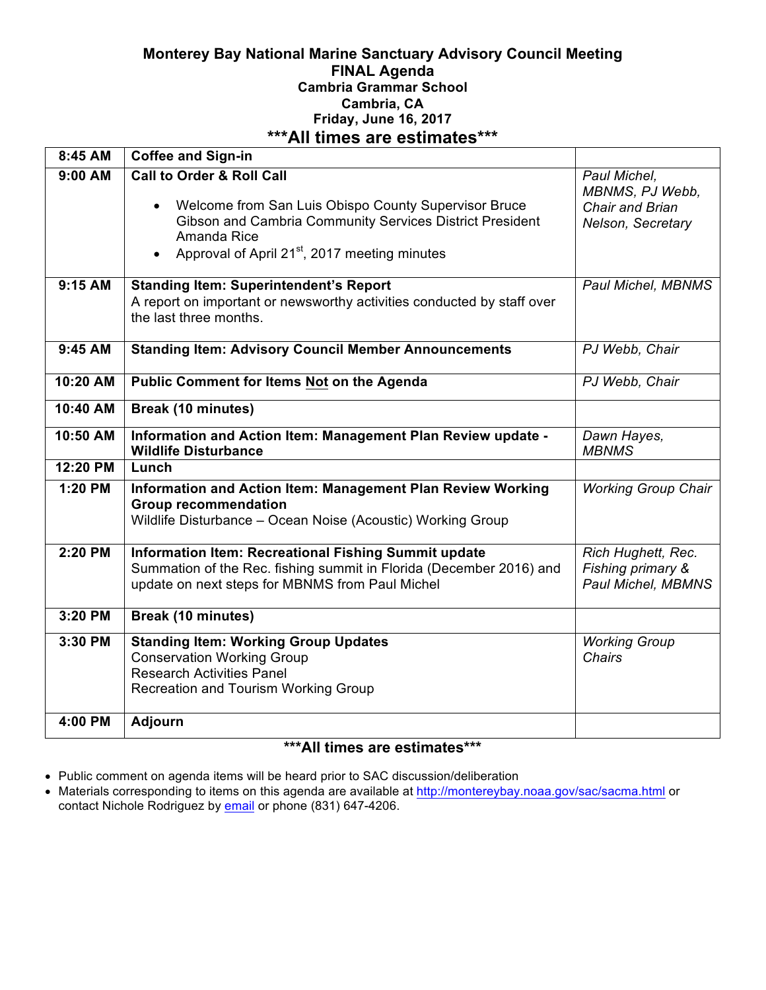## **Monterey Bay National Marine Sanctuary Advisory Council Meeting FINAL Agenda Cambria Grammar School Cambria, CA Friday, June 16, 2017 \*\*\*All times are estimates\*\*\***

| $8:45$ AM              | <b>Coffee and Sign-in</b>                                                                                                                                                                                                                         |                                                                         |
|------------------------|---------------------------------------------------------------------------------------------------------------------------------------------------------------------------------------------------------------------------------------------------|-------------------------------------------------------------------------|
| 9:00 AM                | <b>Call to Order &amp; Roll Call</b><br>Welcome from San Luis Obispo County Supervisor Bruce<br>$\bullet$<br>Gibson and Cambria Community Services District President<br>Amanda Rice<br>Approval of April 21 <sup>st</sup> , 2017 meeting minutes | Paul Michel,<br>MBNMS, PJ Webb,<br>Chair and Brian<br>Nelson, Secretary |
| 9:15 AM                | <b>Standing Item: Superintendent's Report</b><br>A report on important or newsworthy activities conducted by staff over<br>the last three months.                                                                                                 | Paul Michel, MBNMS                                                      |
| 9:45 AM                | <b>Standing Item: Advisory Council Member Announcements</b>                                                                                                                                                                                       | PJ Webb, Chair                                                          |
| 10:20 AM               | <b>Public Comment for Items Not on the Agenda</b>                                                                                                                                                                                                 | PJ Webb, Chair                                                          |
| 10:40 AM               | <b>Break (10 minutes)</b>                                                                                                                                                                                                                         |                                                                         |
| 10:50 AM               | Information and Action Item: Management Plan Review update -<br><b>Wildlife Disturbance</b>                                                                                                                                                       | Dawn Hayes,<br><b>MBNMS</b>                                             |
| $\overline{12}$ :20 PM | Lunch                                                                                                                                                                                                                                             |                                                                         |
| 1:20 PM                | Information and Action Item: Management Plan Review Working<br><b>Group recommendation</b><br>Wildlife Disturbance - Ocean Noise (Acoustic) Working Group                                                                                         | <b>Working Group Chair</b>                                              |
| 2:20 PM                | Information Item: Recreational Fishing Summit update<br>Summation of the Rec. fishing summit in Florida (December 2016) and<br>update on next steps for MBNMS from Paul Michel                                                                    | Rich Hughett, Rec.<br>Fishing primary &<br>Paul Michel, MBMNS           |
| 3:20 PM                | <b>Break (10 minutes)</b>                                                                                                                                                                                                                         |                                                                         |
| 3:30 PM                | <b>Standing Item: Working Group Updates</b><br><b>Conservation Working Group</b><br><b>Research Activities Panel</b><br><b>Recreation and Tourism Working Group</b>                                                                               | <b>Working Group</b><br>Chairs                                          |
| 4:00 PM                | <b>Adjourn</b>                                                                                                                                                                                                                                    |                                                                         |

# **\*\*\*All times are estimates\*\*\***

- Public comment on agenda items will be heard prior to SAC discussion/deliberation
- Materials corresponding to items on this agenda are available at http://montereybay.noaa.gov/sac/sacma.html or contact Nichole Rodriguez by email or phone (831) 647-4206.